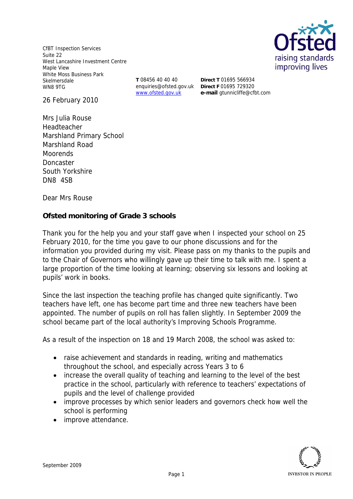CfBT Inspection Services Suite 22 West Lancashire Investment Centre Maple View White Moss Business Park Skelmersdale WN8 9TG

**T** 08456 40 40 40 enquiries@ofsted.gov.uk **Direct F** 01695 729320 www.ofsted.gov.uk

**Direct T** 01695 566934 **e-mail** gtunnicliffe@cfbt.com raising standards improving lives

26 February 2010

Mrs Julia Rouse Headteacher Marshland Primary School Marshland Road **Moorends** Doncaster South Yorkshire DN8 4SB

Dear Mrs Rouse

**Ofsted monitoring of Grade 3 schools**

Thank you for the help you and your staff gave when I inspected your school on 25 February 2010*,* for the time you gave to our phone discussions and for the information you provided during my visit*.* Please pass on my thanks to the pupils and to the Chair of Governors who willingly gave up their time to talk with me. I spent a large proportion of the time looking at learning; observing six lessons and looking at pupils' work in books.

Since the last inspection the teaching profile has changed quite significantly. Two teachers have left, one has become part time and three new teachers have been appointed. The number of pupils on roll has fallen slightly. In September 2009 the school became part of the local authority's Improving Schools Programme.

As a result of the inspection on 18 and 19 March 2008, the school was asked to:

- raise achievement and standards in reading, writing and mathematics throughout the school, and especially across Years 3 to 6
- increase the overall quality of teaching and learning to the level of the best practice in the school, particularly with reference to teachers' expectations of pupils and the level of challenge provided
- improve processes by which senior leaders and governors check how well the school is performing
- improve attendance.

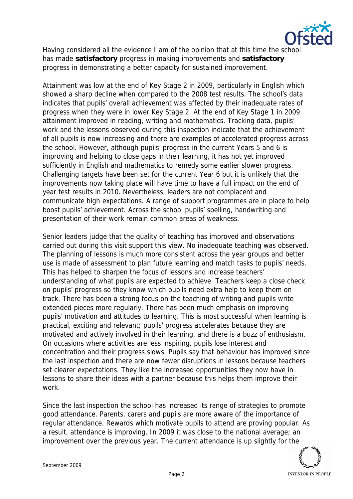

Having considered all the evidence I am of the opinion that at this time the schoo has made **satisfactory** progress in making improvements and **satisfactory** progress in demonstrating a better capacity for sustained improvement.

Attainment was low at the end of Key Stage 2 in 2009, particularly in English which showed a sharp decline when compared to the 2008 test results. The school's data indicates that pupils' overall achievement was affected by their inadequate rates of progress when they were in lower Key Stage 2. At the end of Key Stage 1 in 2009 attainment improved in reading, writing and mathematics. Tracking data, pupils' work and the lessons observed during this inspection indicate that the achievement of all pupils is now increasing and there are examples of accelerated progress across the school. However, although pupils' progress in the current Years 5 and 6 is improving and helping to close gaps in their learning, it has not yet improved sufficiently in English and mathematics to remedy some earlier slower progress. Challenging targets have been set for the current Year 6 but it is unlikely that the improvements now taking place will have time to have a full impact on the end of year test results in 2010. Nevertheless, leaders are not complacent and communicate high expectations. A range of support programmes are in place to help boost pupils' achievement. Across the school pupils' spelling, handwriting and presentation of their work remain common areas of weakness.

Senior leaders judge that the quality of teaching has improved and observations carried out during this visit support this view. No inadequate teaching was observed. The planning of lessons is much more consistent across the year groups and better use is made of assessment to plan future learning and match tasks to pupils' needs. This has helped to sharpen the focus of lessons and increase teachers' understanding of what pupils are expected to achieve. Teachers keep a close check on pupils' progress so they know which pupils need extra help to keep them on track. There has been a strong focus on the teaching of writing and pupils write extended pieces more regularly. There has been much emphasis on improving pupils' motivation and attitudes to learning. This is most successful when learning is practical, exciting and relevant; pupils' progress accelerates because they are motivated and actively involved in their learning, and there is a buzz of enthusiasm. On occasions where activities are less inspiring, pupils lose interest and concentration and their progress slows. Pupils say that behaviour has improved since the last inspection and there are now fewer disruptions in lessons because teachers set clearer expectations. They like the increased opportunities they now have in lessons to share their ideas with a partner because this helps them improve their work.

Since the last inspection the school has increased its range of strategies to promote good attendance. Parents, carers and pupils are more aware of the importance of regular attendance. Rewards which motivate pupils to attend are proving popular. As a result, attendance is improving. In 2009 it was close to the national average; an improvement over the previous year. The current attendance is up slightly for the